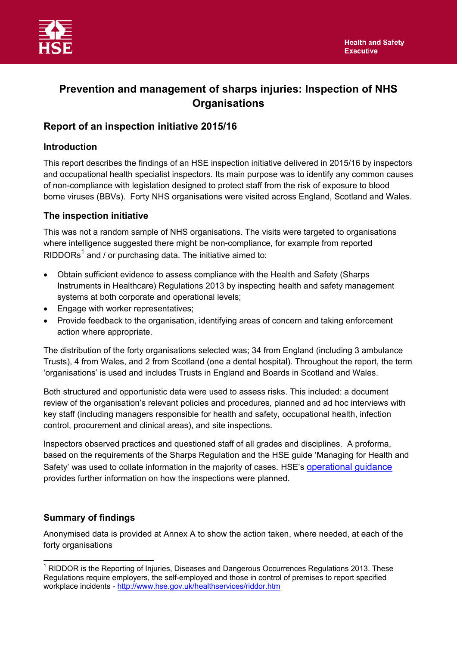

# **Prevention and management of sharps injuries: Inspection of NHS Organisations**

## **Report of an inspection initiative 2015/16**

#### **Introduction**

This report describes the findings of an HSE inspection initiative delivered in 2015/16 by inspectors and occupational health specialist inspectors. Its main purpose was to identify any common causes of non-compliance with legislation designed to protect staff from the risk of exposure to blood borne viruses (BBVs). Forty NHS organisations were visited across England, Scotland and Wales.

### **The inspection initiative**

This was not a random sample of NHS organisations. The visits were targeted to organisations where intelligence suggested there might be non-compliance, for example from reported RIDDORs<sup>1</sup> and / or purchasing data. The initiative aimed to:

- Obtain sufficient evidence to assess compliance with the Health and Safety (Sharps Instruments in Healthcare) Regulations 2013 by inspecting health and safety management systems at both corporate and operational levels;
- Engage with worker representatives;
- Provide feedback to the organisation, identifying areas of concern and taking enforcement action where appropriate.

The distribution of the forty organisations selected was; 34 from England (including 3 ambulance Trusts), 4 from Wales, and 2 from Scotland (one a dental hospital). Throughout the report, the term 'organisations' is used and includes Trusts in England and Boards in Scotland and Wales.

Both structured and opportunistic data were used to assess risks. This included: a document review of the organisation's relevant policies and procedures, planned and ad hoc interviews with key staff (including managers responsible for health and safety, occupational health, infection control, procurement and clinical areas), and site inspections.

Inspectors observed practices and questioned staff of all grades and disciplines. A proforma, based on the requirements of the Sharps Regulation and the HSE guide 'Managing for Health and Safety' was used to collate information in the majority of cases. HSE's [operational guidance](http://www.hse.gov.uk/foi/internalops/og/og-00060.htm) provides further information on how the inspections were planned.

### **Summary of findings**

Anonymised data is provided at Annex A to show the action taken, where needed, at each of the forty organisations

 $\overline{a}$  $<sup>1</sup>$  RIDDOR is the Reporting of Injuries, Diseases and Dangerous Occurrences Regulations 2013. These</sup> Regulations require employers, the self-employed and those in control of premises to report specified workplace incidents - <http://www.hse.gov.uk/healthservices/riddor.htm>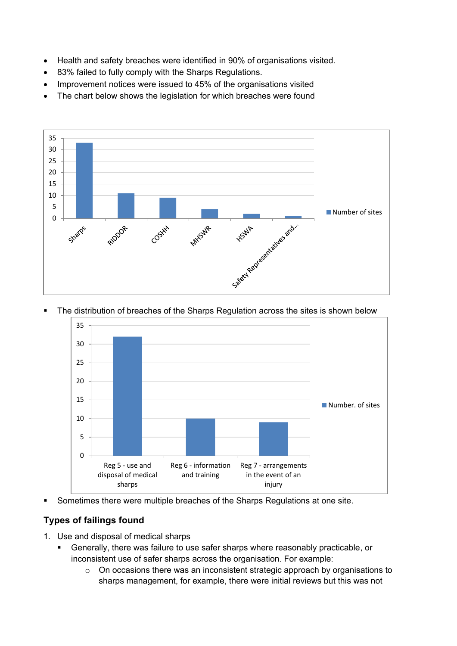- Health and safety breaches were identified in 90% of organisations visited.
- 83% failed to fully comply with the Sharps Regulations.
- Improvement notices were issued to 45% of the organisations visited
- The chart below shows the legislation for which breaches were found



The distribution of breaches of the Sharps Regulation across the sites is shown below



Sometimes there were multiple breaches of the Sharps Regulations at one site.

## **Types of failings found**

- 1. Use and disposal of medical sharps
	- Generally, there was failure to use safer sharps where reasonably practicable, or inconsistent use of safer sharps across the organisation. For example:
		- o On occasions there was an inconsistent strategic approach by organisations to sharps management, for example, there were initial reviews but this was not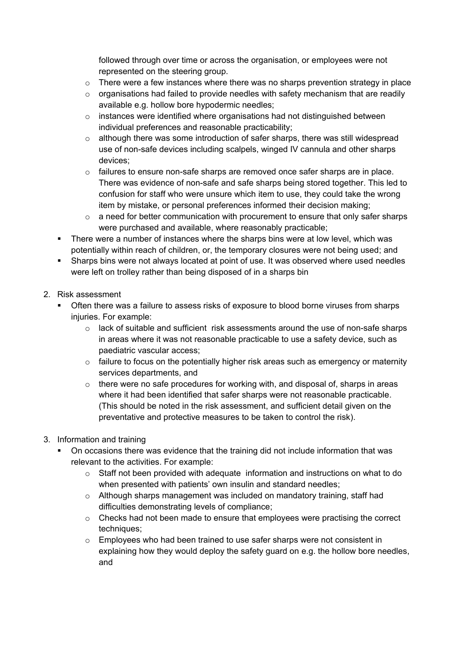followed through over time or across the organisation, or employees were not represented on the steering group.

- $\circ$  There were a few instances where there was no sharps prevention strategy in place
- $\circ$  organisations had failed to provide needles with safety mechanism that are readily available e.g. hollow bore hypodermic needles;
- $\circ$  instances were identified where organisations had not distinguished between individual preferences and reasonable practicability;
- o although there was some introduction of safer sharps, there was still widespread use of non-safe devices including scalpels, winged IV cannula and other sharps devices;
- $\circ$  failures to ensure non-safe sharps are removed once safer sharps are in place. There was evidence of non-safe and safe sharps being stored together. This led to confusion for staff who were unsure which item to use, they could take the wrong item by mistake, or personal preferences informed their decision making;
- $\circ$  a need for better communication with procurement to ensure that only safer sharps were purchased and available, where reasonably practicable;
- There were a number of instances where the sharps bins were at low level, which was potentially within reach of children, or, the temporary closures were not being used; and
- Sharps bins were not always located at point of use. It was observed where used needles were left on trolley rather than being disposed of in a sharps bin
- 2. Risk assessment
	- Often there was a failure to assess risks of exposure to blood borne viruses from sharps injuries. For example:
		- o lack of suitable and sufficient risk assessments around the use of non-safe sharps in areas where it was not reasonable practicable to use a safety device, such as paediatric vascular access;
		- $\circ$  failure to focus on the potentially higher risk areas such as emergency or maternity services departments, and
		- $\circ$  there were no safe procedures for working with, and disposal of, sharps in areas where it had been identified that safer sharps were not reasonable practicable. (This should be noted in the risk assessment, and sufficient detail given on the preventative and protective measures to be taken to control the risk).
- 3. Information and training
	- On occasions there was evidence that the training did not include information that was relevant to the activities. For example:
		- $\circ$  Staff not been provided with adequate information and instructions on what to do when presented with patients' own insulin and standard needles;
		- $\circ$  Although sharps management was included on mandatory training, staff had difficulties demonstrating levels of compliance;
		- $\circ$  Checks had not been made to ensure that employees were practising the correct techniques;
		- $\circ$  Employees who had been trained to use safer sharps were not consistent in explaining how they would deploy the safety guard on e.g. the hollow bore needles, and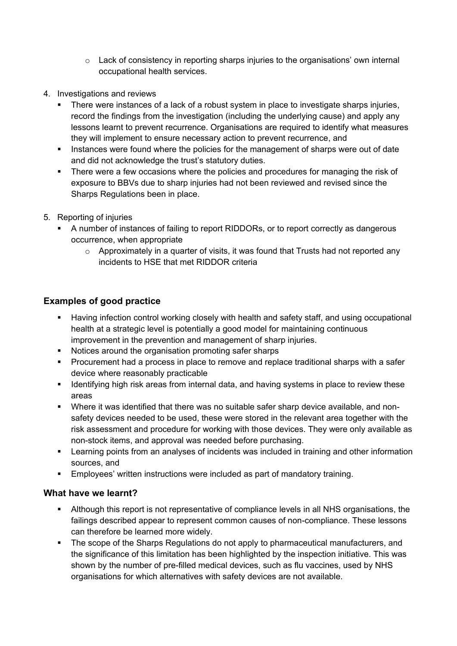- $\circ$  Lack of consistency in reporting sharps injuries to the organisations' own internal occupational health services.
- 4. Investigations and reviews
	- There were instances of a lack of a robust system in place to investigate sharps injuries, record the findings from the investigation (including the underlying cause) and apply any lessons learnt to prevent recurrence. Organisations are required to identify what measures they will implement to ensure necessary action to prevent recurrence, and
	- Instances were found where the policies for the management of sharps were out of date and did not acknowledge the trust's statutory duties.
	- There were a few occasions where the policies and procedures for managing the risk of exposure to BBVs due to sharp injuries had not been reviewed and revised since the Sharps Regulations been in place.
- 5. Reporting of injuries
	- A number of instances of failing to report RIDDORs, or to report correctly as dangerous occurrence, when appropriate
		- o Approximately in a quarter of visits, it was found that Trusts had not reported any incidents to HSE that met RIDDOR criteria

## **Examples of good practice**

- Having infection control working closely with health and safety staff, and using occupational health at a strategic level is potentially a good model for maintaining continuous improvement in the prevention and management of sharp injuries.
- Notices around the organisation promoting safer sharps
- **Procurement had a process in place to remove and replace traditional sharps with a safer** device where reasonably practicable
- Identifying high risk areas from internal data, and having systems in place to review these areas
- Where it was identified that there was no suitable safer sharp device available, and nonsafety devices needed to be used, these were stored in the relevant area together with the risk assessment and procedure for working with those devices. They were only available as non-stock items, and approval was needed before purchasing.
- Learning points from an analyses of incidents was included in training and other information sources, and
- Employees' written instructions were included as part of mandatory training.

#### **What have we learnt?**

- Although this report is not representative of compliance levels in all NHS organisations, the failings described appear to represent common causes of non-compliance. These lessons can therefore be learned more widely.
- The scope of the Sharps Regulations do not apply to pharmaceutical manufacturers, and the significance of this limitation has been highlighted by the inspection initiative. This was shown by the number of pre-filled medical devices, such as flu vaccines, used by NHS organisations for which alternatives with safety devices are not available.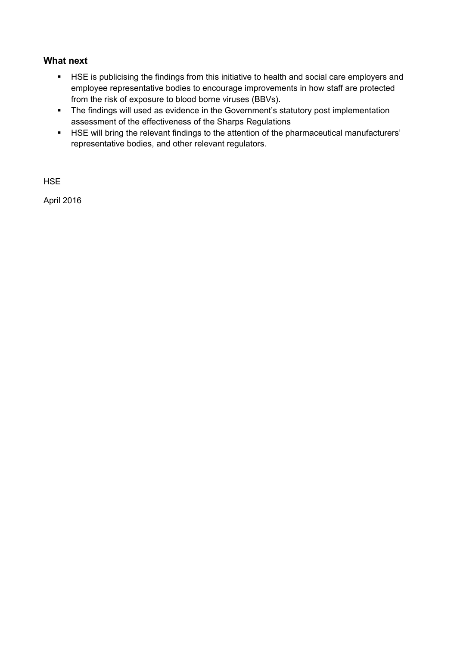### **What next**

- **HSE** is publicising the findings from this initiative to health and social care employers and employee representative bodies to encourage improvements in how staff are protected from the risk of exposure to blood borne viruses (BBVs).
- The findings will used as evidence in the Government's statutory post implementation assessment of the effectiveness of the Sharps Regulations
- HSE will bring the relevant findings to the attention of the pharmaceutical manufacturers' representative bodies, and other relevant regulators.

**HSE** 

April 2016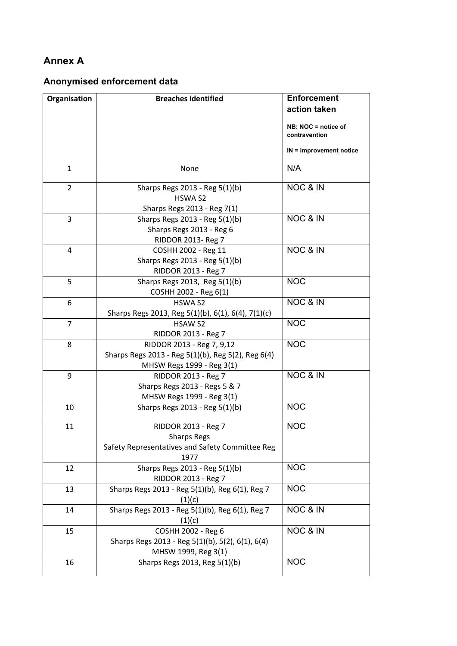## **Annex A**

## **Anonymised enforcement data**

| Organisation   | <b>Breaches identified</b>                                                                                   | <b>Enforcement</b><br>action taken   |
|----------------|--------------------------------------------------------------------------------------------------------------|--------------------------------------|
|                |                                                                                                              | NB: NOC = notice of<br>contravention |
|                |                                                                                                              | IN = improvement notice              |
| $\mathbf{1}$   | None                                                                                                         | N/A                                  |
| $\overline{2}$ | Sharps Regs 2013 - Reg 5(1)(b)<br>HSWA S2<br>Sharps Regs 2013 - Reg 7(1)                                     | NOC & IN                             |
| 3              | Sharps Regs 2013 - Reg 5(1)(b)<br>Sharps Regs 2013 - Reg 6<br>RIDDOR 2013- Reg 7                             | <b>NOC &amp; IN</b>                  |
| 4              | COSHH 2002 - Reg 11<br>Sharps Regs 2013 - Reg 5(1)(b)<br>RIDDOR 2013 - Reg 7                                 | NOC & IN                             |
| 5              | Sharps Regs 2013, Reg 5(1)(b)<br>COSHH 2002 - Reg 6(1)                                                       | <b>NOC</b>                           |
| 6              | HSWA S2<br>Sharps Regs 2013, Reg 5(1)(b), 6(1), 6(4), 7(1)(c)                                                | NOC & IN                             |
| 7              | <b>HSAW S2</b><br>RIDDOR 2013 - Reg 7                                                                        | <b>NOC</b>                           |
| 8              | RIDDOR 2013 - Reg 7, 9,12<br>Sharps Regs 2013 - Reg 5(1)(b), Reg 5(2), Reg 6(4)<br>MHSW Regs 1999 - Reg 3(1) | <b>NOC</b>                           |
| 9              | RIDDOR 2013 - Reg 7<br>Sharps Regs 2013 - Regs 5 & 7<br>MHSW Regs 1999 - Reg 3(1)                            | <b>NOC &amp; IN</b>                  |
| 10             | Sharps Regs 2013 - Reg 5(1)(b)                                                                               | <b>NOC</b>                           |
| 11             | RIDDOR 2013 - Reg 7<br><b>Sharps Regs</b><br>Safety Representatives and Safety Committee Reg<br>1977         | <b>NOC</b>                           |
| 12             | Sharps Regs 2013 - Reg 5(1)(b)<br>RIDDOR 2013 - Reg 7                                                        | <b>NOC</b>                           |
| 13             | Sharps Regs 2013 - Reg 5(1)(b), Reg 6(1), Reg 7<br>(1)(c)                                                    | <b>NOC</b>                           |
| 14             | Sharps Regs 2013 - Reg 5(1)(b), Reg 6(1), Reg 7<br>(1)(c)                                                    | NOC & IN                             |
| 15             | COSHH 2002 - Reg 6<br>Sharps Regs 2013 - Reg 5(1)(b), 5(2), 6(1), 6(4)<br>MHSW 1999, Reg 3(1)                | NOC & IN                             |
| 16             | Sharps Regs 2013, Reg 5(1)(b)                                                                                | <b>NOC</b>                           |